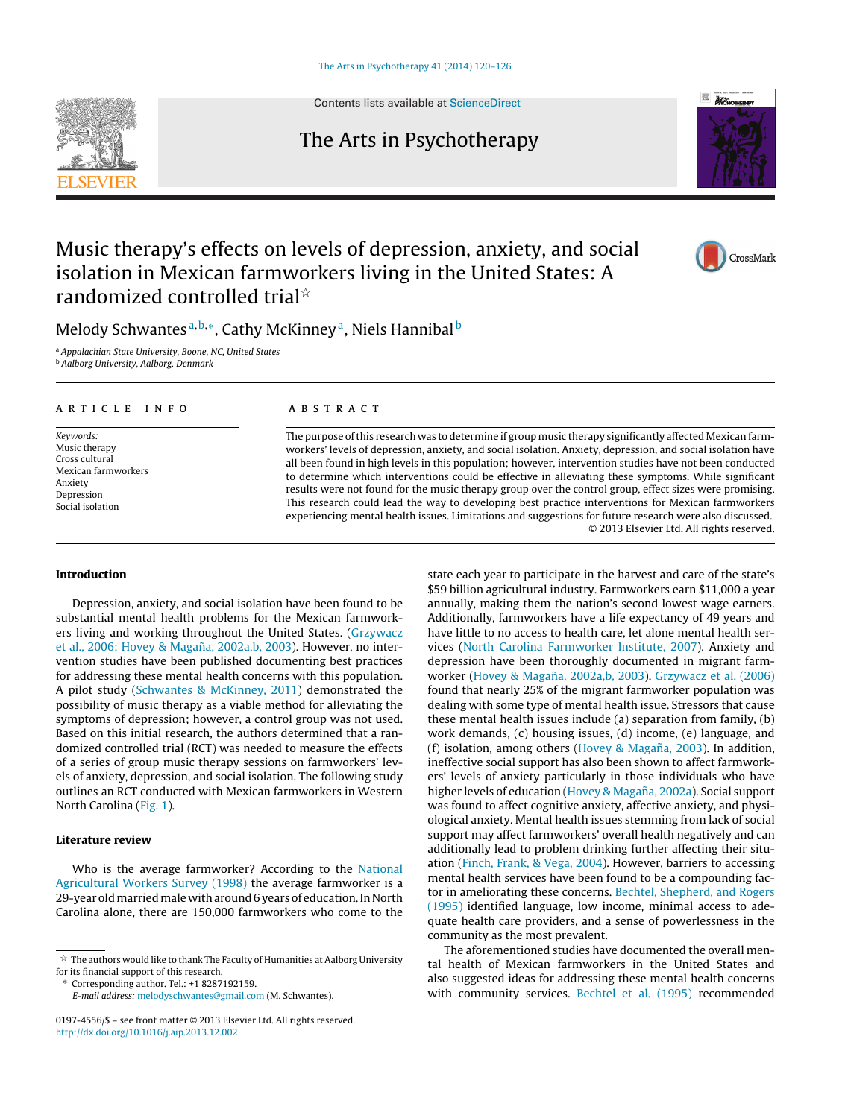Contents lists available at [ScienceDirect](http://www.sciencedirect.com/science/journal/01974556)

## The Arts in Psychotherapy



Melody Schwantes<sup>a,b,∗</sup>, Cathy McKinney<sup>a</sup>, Niels Hannibal<sup>b</sup>

a Appalachian State University, Boone, NC, United States

<sup>b</sup> Aalborg University, Aalborg, Denmark

### a r t i c l e i n f o

Keywords: Music therapy Cross cultural Mexican farmworkers Anxiety Depression Social isolation

#### A B S T R A C T

The purpose ofthis research was to determine if group music therapy significantly affected Mexican farmworkers' levels of depression, anxiety, and social isolation. Anxiety, depression, and social isolation have all been found in high levels in this population; however, intervention studies have not been conducted to determine which interventions could be effective in alleviating these symptoms. While significant results were not found for the music therapy group over the control group, effect sizes were promising. This research could lead the way to developing best practice interventions for Mexican farmworkers experiencing mental health issues. Limitations and suggestions for future research were also discussed. © 2013 Elsevier Ltd. All rights reserved.

#### **Introduction**

Depression, anxiety, and social isolation have been found to be substantial mental health problems for the Mexican farmworkers living and working throughout the United States. [\(Grzywacz](#page--1-0) et [al.,](#page--1-0) [2006;](#page--1-0) [Hovey](#page--1-0) [&](#page--1-0) Magaña, [2002a,b,](#page--1-0) [2003\).](#page--1-0) However, no intervention studies have been published documenting best practices for addressing these mental health concerns with this population. A pilot study [\(Schwantes](#page--1-0) [&](#page--1-0) [McKinney,](#page--1-0) [2011\)](#page--1-0) demonstrated the possibility of music therapy as a viable method for alleviating the symptoms of depression; however, a control group was not used. Based on this initial research, the authors determined that a randomized controlled trial (RCT) was needed to measure the effects of a series of group music therapy sessions on farmworkers' levels of anxiety, depression, and social isolation. The following study outlines an RCT conducted with Mexican farmworkers in Western North Carolina [\(Fig.](#page-1-0) 1).

#### **Literature review**

Who is the average farmworker? According to the [National](#page--1-0) [Agricultural](#page--1-0) [Workers](#page--1-0) [Survey](#page--1-0) [\(1998\)](#page--1-0) the average farmworker is a 29-year old married male with around 6 years of education. In North Carolina alone, there are 150,000 farmworkers who come to the

∗ Corresponding author. Tel.: +1 8287192159.

E-mail address: [melodyschwantes@gmail.com](mailto:melodyschwantes@gmail.com) (M. Schwantes).

state each year to participate in the harvest and care of the state's \$59 billion agricultural industry. Farmworkers earn \$11,000 a year annually, making them the nation's second lowest wage earners. Additionally, farmworkers have a life expectancy of 49 years and have little to no access to health care, let alone mental health services [\(North](#page--1-0) [Carolina](#page--1-0) [Farmworker](#page--1-0) [Institute,](#page--1-0) [2007\).](#page--1-0) Anxiety and depression have been thoroughly documented in migrant farm-worker ([Hovey](#page--1-0) [&](#page--1-0) Magaña, [2002a,b,](#page--1-0) [2003\).](#page--1-0) [Grzywacz](#page--1-0) et [al.](#page--1-0) [\(2006\)](#page--1-0) found that nearly 25% of the migrant farmworker population was dealing with some type of mental health issue. Stressors that cause these mental health issues include (a) separation from family, (b) work demands, (c) housing issues, (d) income, (e) language, and (f) isolation, among others [\(Hovey](#page--1-0) [&](#page--1-0) Magaña,  $2003$ ). In addition, ineffective social support has also been shown to affect farmworkers' levels of anxiety particularly in those individuals who have higher levels of education ([Hovey](#page--1-0) [&](#page--1-0) Magaña, [2002a\).](#page--1-0) Social support was found to affect cognitive anxiety, affective anxiety, and physiological anxiety. Mental health issues stemming from lack of social support may affect farmworkers' overall health negatively and can additionally lead to problem drinking further affecting their situation ([Finch,](#page--1-0) [Frank,](#page--1-0) [&](#page--1-0) [Vega,](#page--1-0) [2004\).](#page--1-0) However, barriers to accessing mental health services have been found to be a compounding factor in ameliorating these concerns. [Bechtel,](#page--1-0) [Shepherd,](#page--1-0) [and](#page--1-0) [Rogers](#page--1-0) [\(1995\)](#page--1-0) identified language, low income, minimal access to adequate health care providers, and a sense of powerlessness in the community as the most prevalent.

The aforementioned studies have documented the overall mental health of Mexican farmworkers in the United States and also suggested ideas for addressing these mental health concerns with community services. [Bechtel](#page--1-0) et [al.](#page--1-0) [\(1995\)](#page--1-0) recommended







 $^\star \,$  The authors would like to thank The Faculty of Humanities at Aalborg University for its financial support of this research.

<sup>0197-4556/\$</sup> – see front matter © 2013 Elsevier Ltd. All rights reserved. [http://dx.doi.org/10.1016/j.aip.2013.12.002](dx.doi.org/10.1016/j.aip.2013.12.002)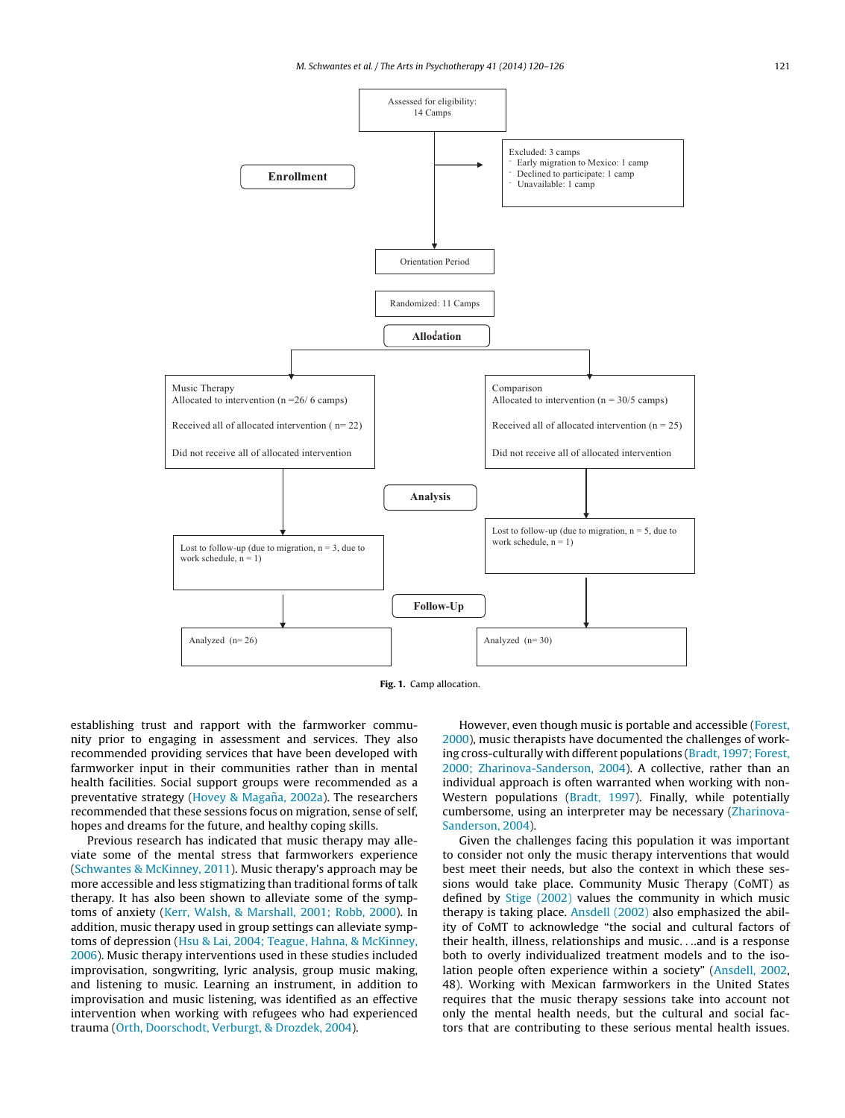<span id="page-1-0"></span>

**Fig. 1.** Camp allocation.

establishing trust and rapport with the farmworker community prior to engaging in assessment and services. They also recommended providing services that have been developed with farmworker input in their communities rather than in mental health facilities. Social support groups were recommended as a preventative strategy [\(Hovey](#page--1-0) [&](#page--1-0) Magaña, [2002a\).](#page--1-0) The researchers recommended that these sessions focus on migration, sense of self, hopes and dreams for the future, and healthy coping skills.

Previous research has indicated that music therapy may alleviate some of the mental stress that farmworkers experience ([Schwantes](#page--1-0) [&](#page--1-0) [McKinney,](#page--1-0) [2011\).](#page--1-0) Music therapy's approach may be more accessible and less stigmatizing than traditional forms of talk therapy. It has also been shown to alleviate some of the symptoms of anxiety ([Kerr,](#page--1-0) [Walsh,](#page--1-0) [&](#page--1-0) [Marshall,](#page--1-0) [2001;](#page--1-0) [Robb,](#page--1-0) [2000\).](#page--1-0) In addition, music therapy used in group settings can alleviate symptoms of depression ([Hsu](#page--1-0) [&](#page--1-0) [Lai,](#page--1-0) [2004;](#page--1-0) [Teague,](#page--1-0) [Hahna,](#page--1-0) [&](#page--1-0) [McKinney,](#page--1-0) [2006\).](#page--1-0) Music therapy interventions used in these studies included improvisation, songwriting, lyric analysis, group music making, and listening to music. Learning an instrument, in addition to improvisation and music listening, was identified as an effective intervention when working with refugees who had experienced trauma ([Orth,](#page--1-0) [Doorschodt,](#page--1-0) [Verburgt,](#page--1-0) [&](#page--1-0) [Drozdek,](#page--1-0) [2004\).](#page--1-0)

However, even though music is portable and accessible [\(Forest,](#page--1-0) [2000\),](#page--1-0) music therapists have documented the challenges of working cross-culturally with different populations ([Bradt,](#page--1-0) [1997;](#page--1-0) [Forest,](#page--1-0) [2000;](#page--1-0) [Zharinova-Sanderson,](#page--1-0) [2004\).](#page--1-0) A collective, rather than an individual approach is often warranted when working with non-Western populations [\(Bradt,](#page--1-0) [1997\).](#page--1-0) Finally, while potentially cumbersome, using an interpreter may be necessary ([Zharinova-](#page--1-0)Sanderson, [2004\).](#page--1-0)

Given the challenges facing this population it was important to consider not only the music therapy interventions that would best meet their needs, but also the context in which these sessions would take place. Community Music Therapy (CoMT) as defined by [Stige](#page--1-0) [\(2002\)](#page--1-0) values the community in which music therapy is taking place. [Ansdell](#page--1-0) [\(2002\)](#page--1-0) also emphasized the ability of CoMT to acknowledge "the social and cultural factors of their health, illness, relationships and music. . ..and is a response both to overly individualized treatment models and to the isolation people often experience within a society" ([Ansdell,](#page--1-0) [2002,](#page--1-0) 48). Working with Mexican farmworkers in the United States requires that the music therapy sessions take into account not only the mental health needs, but the cultural and social factors that are contributing to these serious mental health issues.